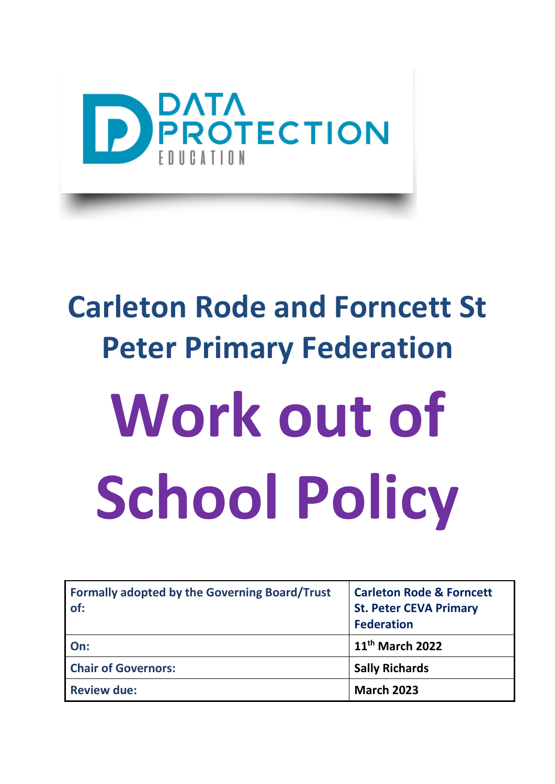

## **Carleton Rode and Forncett St Peter Primary Federation**

# **Work out of School Policy**

| <b>Formally adopted by the Governing Board/Trust</b><br>of: | <b>Carleton Rode &amp; Forncett</b><br><b>St. Peter CEVA Primary</b><br><b>Federation</b> |
|-------------------------------------------------------------|-------------------------------------------------------------------------------------------|
| On:                                                         | 11 <sup>th</sup> March 2022                                                               |
| <b>Chair of Governors:</b>                                  | <b>Sally Richards</b>                                                                     |
| <b>Review due:</b>                                          | <b>March 2023</b>                                                                         |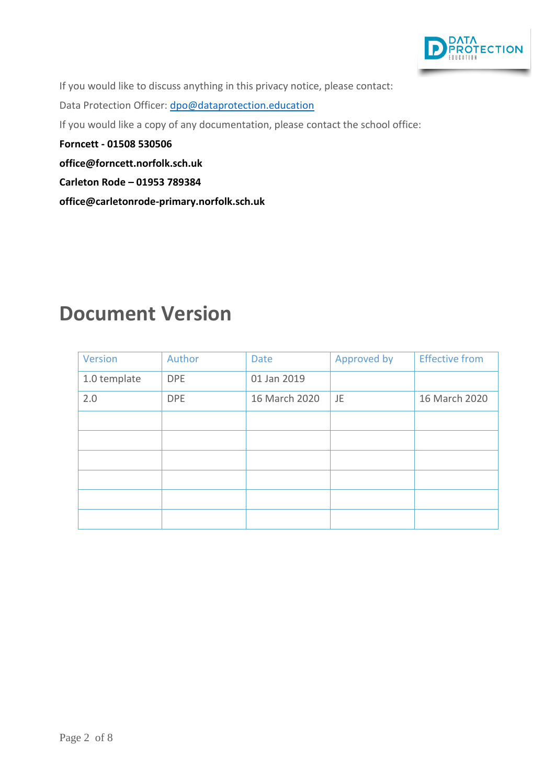

If you would like to discuss anything in this privacy notice, please contact:

Data Protection Officer: [dpo@dataprotection.education](mailto:dpo@dataprotection.education)

If you would like a copy of any documentation, please contact the school office:

**Forncett - 01508 530506**

**[office@forncett.norfolk.sch.uk](mailto:office@forncett.norfolk.sch.uk)**

**Carleton Rode – 01953 789384**

**office@carletonrode-primary.norfolk.sch.uk**

#### **Document Version**

| Version      | Author     | <b>Date</b>   | Approved by | <b>Effective from</b> |
|--------------|------------|---------------|-------------|-----------------------|
| 1.0 template | <b>DPE</b> | 01 Jan 2019   |             |                       |
| 2.0          | <b>DPE</b> | 16 March 2020 | JE          | 16 March 2020         |
|              |            |               |             |                       |
|              |            |               |             |                       |
|              |            |               |             |                       |
|              |            |               |             |                       |
|              |            |               |             |                       |
|              |            |               |             |                       |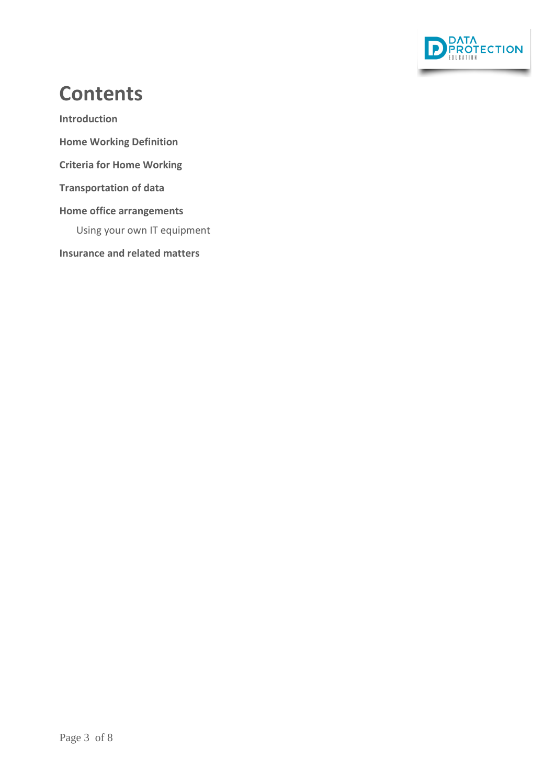

#### **Contents**

**[Introduction](#page-3-0)**

- **[Home Working Definition](#page-3-1)**
- **Criteria for Home Working**

**Transportation of data**

#### **[Home office arrangements](#page-5-0)**

Using your own IT equipment

**Insurance and related matters**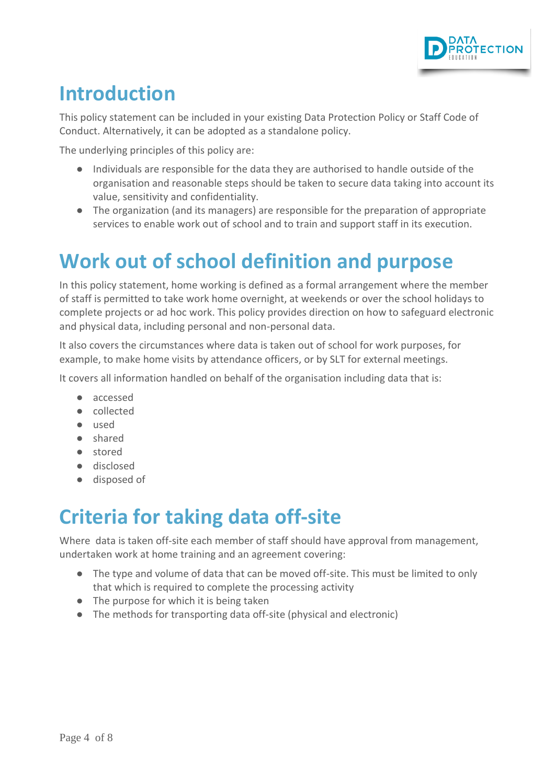

#### <span id="page-3-0"></span>**Introduction**

This policy statement can be included in your existing Data Protection Policy or Staff Code of Conduct. Alternatively, it can be adopted as a standalone policy.

The underlying principles of this policy are:

- Individuals are responsible for the data they are authorised to handle outside of the organisation and reasonable steps should be taken to secure data taking into account its value, sensitivity and confidentiality.
- The organization (and its managers) are responsible for the preparation of appropriate services to enable work out of school and to train and support staff in its execution.

## <span id="page-3-1"></span>**Work out of school definition and purpose**

In this policy statement, home working is defined as a formal arrangement where the member of staff is permitted to take work home overnight, at weekends or over the school holidays to complete projects or ad hoc work. This policy provides direction on how to safeguard electronic and physical data, including personal and non-personal data.

It also covers the circumstances where data is taken out of school for work purposes, for example, to make home visits by attendance officers, or by SLT for external meetings.

It covers all information handled on behalf of the organisation including data that is:

- accessed
- collected
- used
- shared
- stored
- disclosed
- disposed of

#### **Criteria for taking data off-site**

Where data is taken off-site each member of staff should have approval from management, undertaken work at home training and an agreement covering:

- The type and volume of data that can be moved off-site. This must be limited to only that which is required to complete the processing activity
- The purpose for which it is being taken
- The methods for transporting data off-site (physical and electronic)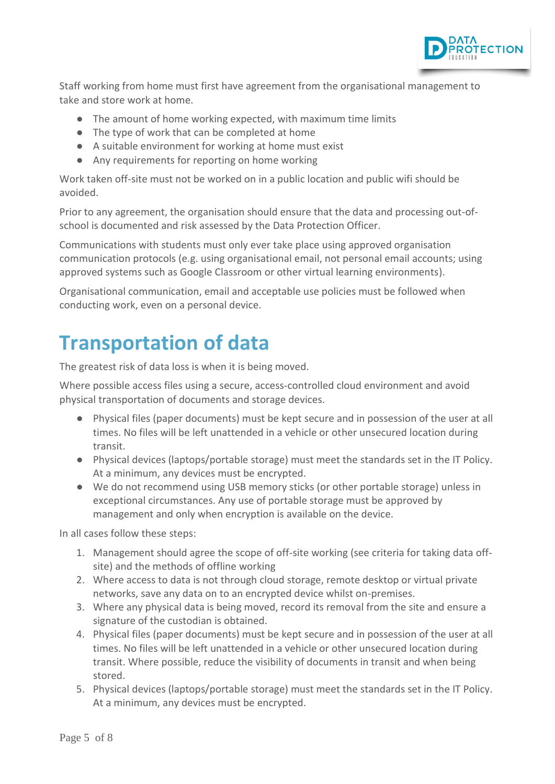

Staff working from home must first have agreement from the organisational management to take and store work at home.

- The amount of home working expected, with maximum time limits
- The type of work that can be completed at home
- A suitable environment for working at home must exist
- Any requirements for reporting on home working

Work taken off-site must not be worked on in a public location and public wifi should be avoided.

Prior to any agreement, the organisation should ensure that the data and processing out-ofschool is documented and risk assessed by the Data Protection Officer.

Communications with students must only ever take place using approved organisation communication protocols (e.g. using organisational email, not personal email accounts; using approved systems such as Google Classroom or other virtual learning environments).

Organisational communication, email and acceptable use policies must be followed when conducting work, even on a personal device.

#### **Transportation of data**

The greatest risk of data loss is when it is being moved.

Where possible access files using a secure, access-controlled cloud environment and avoid physical transportation of documents and storage devices.

- Physical files (paper documents) must be kept secure and in possession of the user at all times. No files will be left unattended in a vehicle or other unsecured location during transit.
- Physical devices (laptops/portable storage) must meet the standards set in the IT Policy. At a minimum, any devices must be encrypted.
- We do not recommend using USB memory sticks (or other portable storage) unless in exceptional circumstances. Any use of portable storage must be approved by management and only when encryption is available on the device.

In all cases follow these steps:

- 1. Management should agree the scope of off-site working (see criteria for taking data offsite) and the methods of offline working
- 2. Where access to data is not through cloud storage, remote desktop or virtual private networks, save any data on to an encrypted device whilst on-premises.
- 3. Where any physical data is being moved, record its removal from the site and ensure a signature of the custodian is obtained.
- 4. Physical files (paper documents) must be kept secure and in possession of the user at all times. No files will be left unattended in a vehicle or other unsecured location during transit. Where possible, reduce the visibility of documents in transit and when being stored.
- 5. Physical devices (laptops/portable storage) must meet the standards set in the IT Policy. At a minimum, any devices must be encrypted.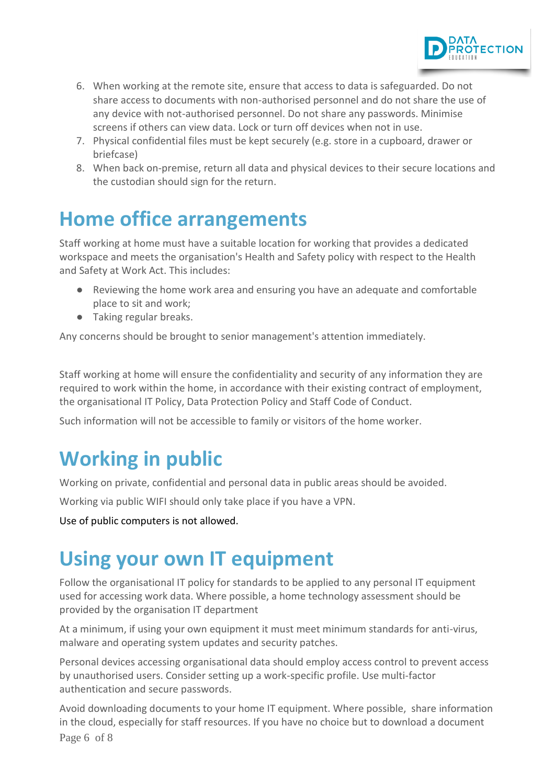

- 6. When working at the remote site, ensure that access to data is safeguarded. Do not share access to documents with non-authorised personnel and do not share the use of any device with not-authorised personnel. Do not share any passwords. Minimise screens if others can view data. Lock or turn off devices when not in use.
- 7. Physical confidential files must be kept securely (e.g. store in a cupboard, drawer or briefcase)
- 8. When back on-premise, return all data and physical devices to their secure locations and the custodian should sign for the return.

#### <span id="page-5-0"></span>**Home office arrangements**

Staff working at home must have a suitable location for working that provides a dedicated workspace and meets the organisation's Health and Safety policy with respect to the Health and Safety at Work Act. This includes:

- Reviewing the home work area and ensuring you have an adequate and comfortable place to sit and work;
- Taking regular breaks.

Any concerns should be brought to senior management's attention immediately.

Staff working at home will ensure the confidentiality and security of any information they are required to work within the home, in accordance with their existing contract of employment, the organisational IT Policy, Data Protection Policy and Staff Code of Conduct.

Such information will not be accessible to family or visitors of the home worker.

## **Working in public**

Working on private, confidential and personal data in public areas should be avoided.

Working via public WIFI should only take place if you have a VPN.

Use of public computers is not allowed.

#### **Using your own IT equipment**

Follow the organisational IT policy for standards to be applied to any personal IT equipment used for accessing work data. Where possible, a home technology assessment should be provided by the organisation IT department

At a minimum, if using your own equipment it must meet minimum standards for anti-virus, malware and operating system updates and security patches.

Personal devices accessing organisational data should employ access control to prevent access by unauthorised users. Consider setting up a work-specific profile. Use multi-factor authentication and secure passwords.

Page 6 of 8 Avoid downloading documents to your home IT equipment. Where possible, share information in the cloud, especially for staff resources. If you have no choice but to download a document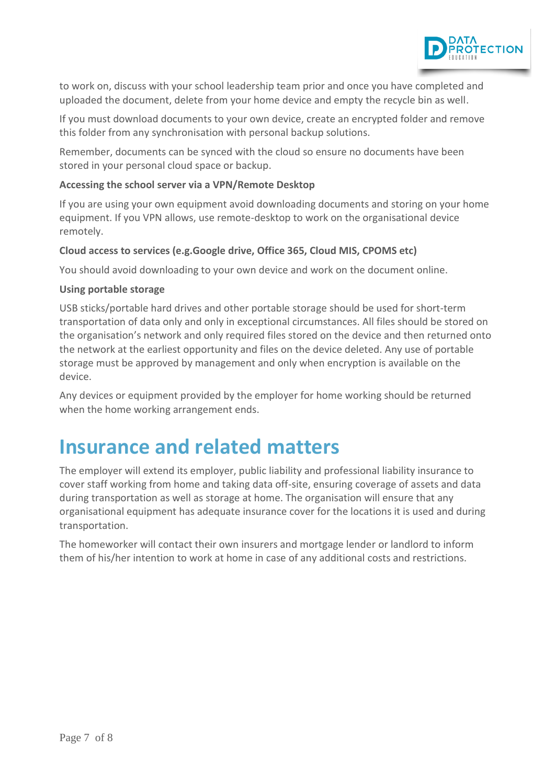

to work on, discuss with your school leadership team prior and once you have completed and uploaded the document, delete from your home device and empty the recycle bin as well.

If you must download documents to your own device, create an encrypted folder and remove this folder from any synchronisation with personal backup solutions.

Remember, documents can be synced with the cloud so ensure no documents have been stored in your personal cloud space or backup.

#### **Accessing the school server via a VPN/Remote Desktop**

If you are using your own equipment avoid downloading documents and storing on your home equipment. If you VPN allows, use remote-desktop to work on the organisational device remotely.

#### **Cloud access to services (e.g.Google drive, Office 365, Cloud MIS, CPOMS etc)**

You should avoid downloading to your own device and work on the document online.

#### **Using portable storage**

USB sticks/portable hard drives and other portable storage should be used for short-term transportation of data only and only in exceptional circumstances. All files should be stored on the organisation's network and only required files stored on the device and then returned onto the network at the earliest opportunity and files on the device deleted. Any use of portable storage must be approved by management and only when encryption is available on the device.

Any devices or equipment provided by the employer for home working should be returned when the home working arrangement ends.

#### **Insurance and related matters**

The employer will extend its employer, public liability and professional liability insurance to cover staff working from home and taking data off-site, ensuring coverage of assets and data during transportation as well as storage at home. The organisation will ensure that any organisational equipment has adequate insurance cover for the locations it is used and during transportation.

The homeworker will contact their own insurers and mortgage lender or landlord to inform them of his/her intention to work at home in case of any additional costs and restrictions.